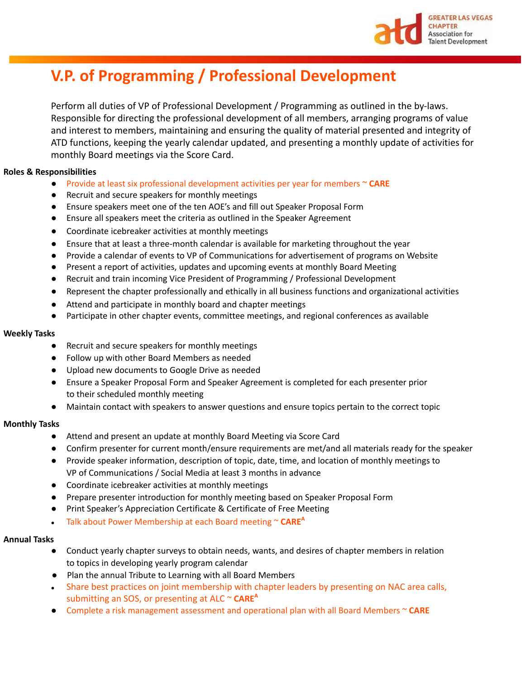

# **V.P. of Programming / Professional Development**

Perform all duties of VP of Professional Development / Programming as outlined in the by-laws. Responsible for directing the professional development of all members, arranging programs of value and interest to members, maintaining and ensuring the quality of material presented and integrity of ATD functions, keeping the yearly calendar updated, and presenting a monthly update of activities for monthly Board meetings via the Score Card.

# **Roles & Responsibilities**

- Provide at least six professional development activities per year for members ~ **CARE**
- Recruit and secure speakers for monthly meetings
- Ensure speakers meet one of the ten AOE's and fill out Speaker Proposal Form
- Ensure all speakers meet the criteria as outlined in the Speaker Agreement
- Coordinate icebreaker activities at monthly meetings
- Ensure that at least a three-month calendar is available for marketing throughout the year
- Provide a calendar of events to VP of Communications for advertisement of programs on Website
- Present a report of activities, updates and upcoming events at monthly Board Meeting
- Recruit and train incoming Vice President of Programming / Professional Development
- Represent the chapter professionally and ethically in all business functions and organizational activities
- Attend and participate in monthly board and chapter meetings
- Participate in other chapter events, committee meetings, and regional conferences as available

### **Weekly Tasks**

- Recruit and secure speakers for monthly meetings
- Follow up with other Board Members as needed
- Upload new documents to Google Drive as needed
- Ensure a Speaker Proposal Form and Speaker Agreement is completed for each presenter prior to their scheduled monthly meeting
- Maintain contact with speakers to answer questions and ensure topics pertain to the correct topic

# **Monthly Tasks**

- Attend and present an update at monthly Board Meeting via Score Card
- Confirm presenter for current month/ensure requirements are met/and all materials ready for the speaker
- Provide speaker information, description of topic, date, time, and location of monthly meetings to VP of Communications / Social Media at least 3 months in advance
- Coordinate icebreaker activities at monthly meetings
- Prepare presenter introduction for monthly meeting based on Speaker Proposal Form
- Print Speaker's Appreciation Certificate & Certificate of Free Meeting
- Talk about Power Membership at each Board meeting ~ **CARE A**

# **Annual Tasks**

- Conduct yearly chapter surveys to obtain needs, wants, and desires of chapter members in relation to topics in developing yearly program calendar
- Plan the annual Tribute to Learning with all Board Members
- Share best practices on joint membership with chapter leaders by presenting on NAC area calls, submitting an SOS, or presenting at ALC ~ CARE<sup>A</sup>
- Complete a risk management assessment and operational plan with all Board Members ~ **CARE**